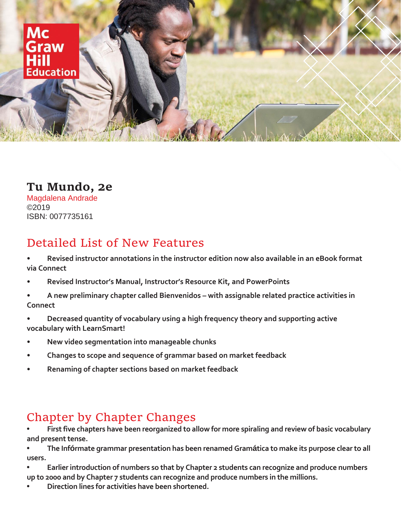

## **Tu Mundo, 2e**

Magdalena Andrade ©2019 ISBN: 0077735161

## Detailed List of New Features

- **• Revised instructor annotations in the instructor edition now also available in an eBook format via Connect**
- **• Revised Instructor's Manual, Instructor's Resource Kit, and PowerPoints**
- **• A new preliminary chapter called Bienvenidos – with assignable related practice activities in Connect**
- **• Decreased quantity of vocabulary using a high frequency theory and supporting active vocabulary with LearnSmart!**
- **• New video segmentation into manageable chunks**
- **• Changes to scope and sequence of grammar based on market feedback**
- **• Renaming of chapter sections based on market feedback**

## Chapter by Chapter Changes

**• First five chapters have been reorganized to allow for more spiraling and review of basic vocabulary and present tense.**

**• The Infórmate grammar presentation has been renamed Gramática to make its purpose clear to all users.**

- **• Earlier introduction of numbers so that by Chapter 2 students can recognize and produce numbers up to 2000 and by Chapter 7 students can recognize and produce numbers in the millions.**
- **• Direction lines for activities have been shortened.**